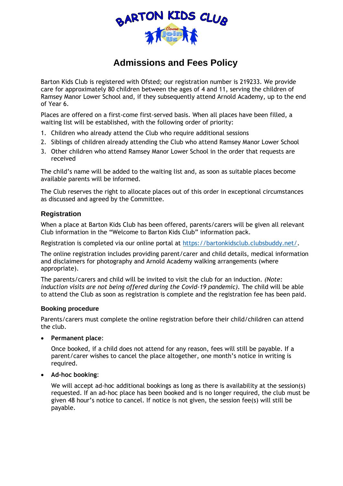

# **Admissions and Fees Policy**

Barton Kids Club is registered with Ofsted; our registration number is 219233. We provide care for approximately 80 children between the ages of 4 and 11, serving the children of Ramsey Manor Lower School and, if they subsequently attend Arnold Academy, up to the end of Year 6.

Places are offered on a first-come first-served basis. When all places have been filled, a waiting list will be established, with the following order of priority:

- 1. Children who already attend the Club who require additional sessions
- 2. Siblings of children already attending the Club who attend Ramsey Manor Lower School
- 3. Other children who attend Ramsey Manor Lower School in the order that requests are received

The child's name will be added to the waiting list and, as soon as suitable places become available parents will be informed.

The Club reserves the right to allocate places out of this order in exceptional circumstances as discussed and agreed by the Committee.

### **Registration**

When a place at Barton Kids Club has been offered, parents/carers will be given all relevant Club information in the "Welcome to Barton Kids Club" information pack.

Registration is completed via our online portal at [https://bartonkidsclub.clubsbuddy.net/.](https://bartonkidsclub.clubsbuddy.net/)

The online registration includes providing parent/carer and child details, medical information and disclaimers for photography and Arnold Academy walking arrangements (where appropriate).

The parents/carers and child will be invited to visit the club for an induction. *(Note: induction visits are not being offered during the Covid-19 pandemic).* The child will be able to attend the Club as soon as registration is complete and the registration fee has been paid.

#### **Booking procedure**

Parents/carers must complete the online registration before their child/children can attend the club.

• **Permanent place**:

Once booked, if a child does not attend for any reason, fees will still be payable. If a parent/carer wishes to cancel the place altogether, one month's notice in writing is required.

## • **Ad-hoc booking**:

We will accept ad-hoc additional bookings as long as there is availability at the session(s) requested. If an ad-hoc place has been booked and is no longer required, the club must be given 48 hour's notice to cancel. If notice is not given, the session fee(s) will still be payable.